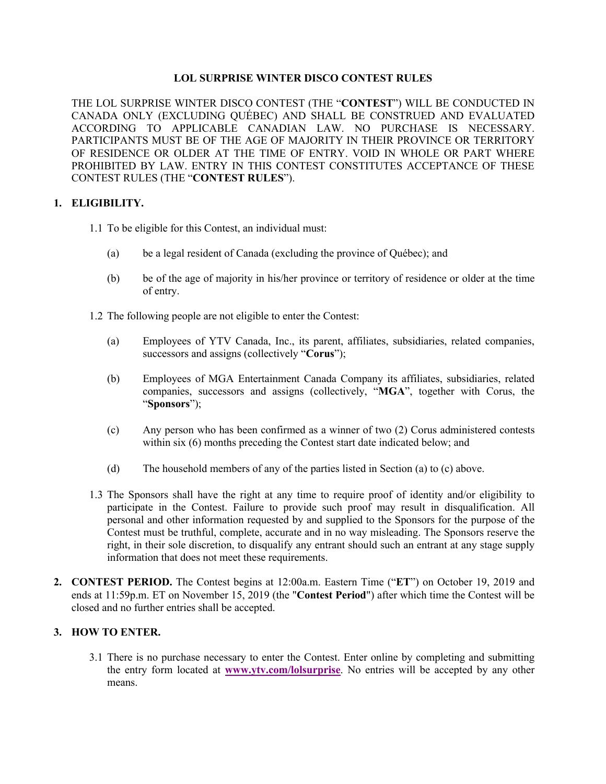## **LOL SURPRISE WINTER DISCO CONTEST RULES**

THE LOL SURPRISE WINTER DISCO CONTEST (THE "**CONTEST**") WILL BE CONDUCTED IN CANADA ONLY (EXCLUDING QUÉBEC) AND SHALL BE CONSTRUED AND EVALUATED ACCORDING TO APPLICABLE CANADIAN LAW. NO PURCHASE IS NECESSARY. PARTICIPANTS MUST BE OF THE AGE OF MAJORITY IN THEIR PROVINCE OR TERRITORY OF RESIDENCE OR OLDER AT THE TIME OF ENTRY. VOID IN WHOLE OR PART WHERE PROHIBITED BY LAW. ENTRY IN THIS CONTEST CONSTITUTES ACCEPTANCE OF THESE CONTEST RULES (THE "**CONTEST RULES**").

## **1. ELIGIBILITY.**

- 1.1 To be eligible for this Contest, an individual must:
	- (a) be a legal resident of Canada (excluding the province of Québec); and
	- (b) be of the age of majority in his/her province or territory of residence or older at the time of entry.
- 1.2 The following people are not eligible to enter the Contest:
	- (a) Employees of YTV Canada, Inc., its parent, affiliates, subsidiaries, related companies, successors and assigns (collectively "**Corus**");
	- (b) Employees of MGA Entertainment Canada Company its affiliates, subsidiaries, related companies, successors and assigns (collectively, "**MGA**", together with Corus, the "**Sponsors**");
	- (c) Any person who has been confirmed as a winner of two (2) Corus administered contests within six (6) months preceding the Contest start date indicated below; and
	- (d) The household members of any of the parties listed in Section (a) to (c) above.
- 1.3 The Sponsors shall have the right at any time to require proof of identity and/or eligibility to participate in the Contest. Failure to provide such proof may result in disqualification. All personal and other information requested by and supplied to the Sponsors for the purpose of the Contest must be truthful, complete, accurate and in no way misleading. The Sponsors reserve the right, in their sole discretion, to disqualify any entrant should such an entrant at any stage supply information that does not meet these requirements.
- **2. CONTEST PERIOD.** The Contest begins at 12:00a.m. Eastern Time ("**ET**") on October 19, 2019 and ends at 11:59p.m. ET on November 15, 2019 (the "**Contest Period**") after which time the Contest will be closed and no further entries shall be accepted.

## **3. HOW TO ENTER.**

3.1 There is no purchase necessary to enter the Contest. Enter online by completing and submitting the entry form located at **www.ytv.com/lolsurprise**. No entries will be accepted by any other means.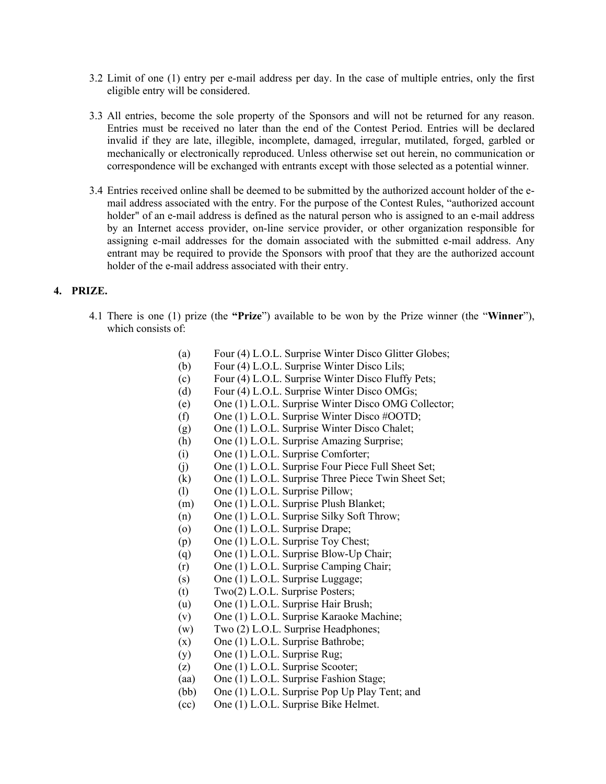- 3.2 Limit of one (1) entry per e-mail address per day. In the case of multiple entries, only the first eligible entry will be considered.
- 3.3 All entries, become the sole property of the Sponsors and will not be returned for any reason. Entries must be received no later than the end of the Contest Period. Entries will be declared invalid if they are late, illegible, incomplete, damaged, irregular, mutilated, forged, garbled or mechanically or electronically reproduced. Unless otherwise set out herein, no communication or correspondence will be exchanged with entrants except with those selected as a potential winner.
- 3.4 Entries received online shall be deemed to be submitted by the authorized account holder of the email address associated with the entry. For the purpose of the Contest Rules, "authorized account holder" of an e-mail address is defined as the natural person who is assigned to an e-mail address by an Internet access provider, on-line service provider, or other organization responsible for assigning e-mail addresses for the domain associated with the submitted e-mail address. Any entrant may be required to provide the Sponsors with proof that they are the authorized account holder of the e-mail address associated with their entry.

#### **4. PRIZE.**

- 4.1 There is one (1) prize (the **"Prize**") available to be won by the Prize winner (the "**Winner**"), which consists of:
	- (a) Four (4) L.O.L. Surprise Winter Disco Glitter Globes;
	- (b) Four (4) L.O.L. Surprise Winter Disco Lils;
	- (c) Four (4) L.O.L. Surprise Winter Disco Fluffy Pets;
	- (d) Four (4) L.O.L. Surprise Winter Disco OMGs;
	- (e) One (1) L.O.L. Surprise Winter Disco OMG Collector;
	- (f) One (1) L.O.L. Surprise Winter Disco #OOTD;
	- (g) One (1) L.O.L. Surprise Winter Disco Chalet;
	- (h) One (1) L.O.L. Surprise Amazing Surprise;
	- (i) One (1) L.O.L. Surprise Comforter;
	- (j) One (1) L.O.L. Surprise Four Piece Full Sheet Set;
	- (k) One (1) L.O.L. Surprise Three Piece Twin Sheet Set;
	- (l) One (1) L.O.L. Surprise Pillow;
	- (m) One (1) L.O.L. Surprise Plush Blanket;
	- (n) One (1) L.O.L. Surprise Silky Soft Throw;
	- (o) One (1) L.O.L. Surprise Drape;
	- (p) One (1) L.O.L. Surprise Toy Chest;
	- (q) One (1) L.O.L. Surprise Blow-Up Chair;
	- (r) One (1) L.O.L. Surprise Camping Chair;
	- (s) One (1) L.O.L. Surprise Luggage;
	- (t) Two(2) L.O.L. Surprise Posters;
	- (u) One (1) L.O.L. Surprise Hair Brush;
	- (v) One (1) L.O.L. Surprise Karaoke Machine;
	- (w) Two (2) L.O.L. Surprise Headphones;
	- (x) One (1) L.O.L. Surprise Bathrobe;
	- (y) One (1) L.O.L. Surprise Rug;
	- (z) One (1) L.O.L. Surprise Scooter;
	- (aa) One (1) L.O.L. Surprise Fashion Stage;
	- (bb) One (1) L.O.L. Surprise Pop Up Play Tent; and
	- (cc) One (1) L.O.L. Surprise Bike Helmet.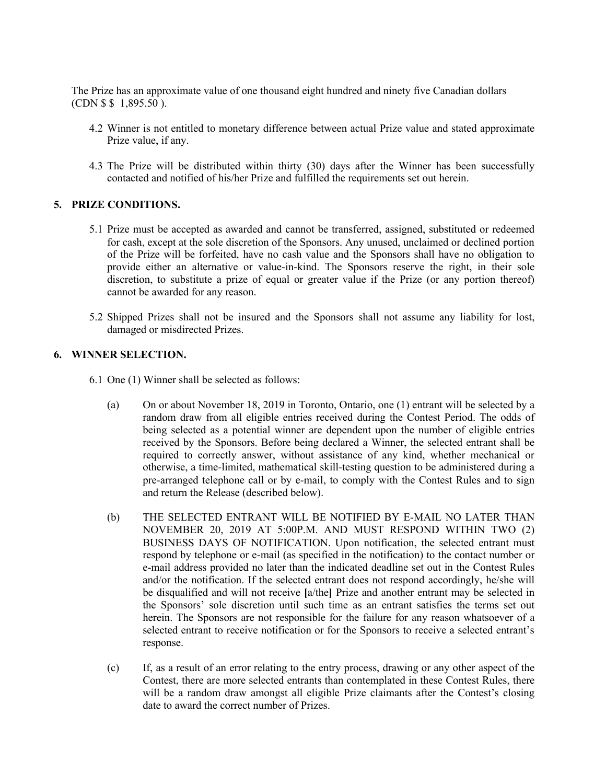The Prize has an approximate value of one thousand eight hundred and ninety five Canadian dollars (CDN \$ \$ 1,895.50 ).

- 4.2 Winner is not entitled to monetary difference between actual Prize value and stated approximate Prize value, if any.
- 4.3 The Prize will be distributed within thirty (30) days after the Winner has been successfully contacted and notified of his/her Prize and fulfilled the requirements set out herein.

## **5. PRIZE CONDITIONS.**

- 5.1 Prize must be accepted as awarded and cannot be transferred, assigned, substituted or redeemed for cash, except at the sole discretion of the Sponsors. Any unused, unclaimed or declined portion of the Prize will be forfeited, have no cash value and the Sponsors shall have no obligation to provide either an alternative or value-in-kind. The Sponsors reserve the right, in their sole discretion, to substitute a prize of equal or greater value if the Prize (or any portion thereof) cannot be awarded for any reason.
- 5.2 Shipped Prizes shall not be insured and the Sponsors shall not assume any liability for lost, damaged or misdirected Prizes.

# **6. WINNER SELECTION.**

- 6.1 One (1) Winner shall be selected as follows:
	- (a) On or about November 18, 2019 in Toronto, Ontario, one (1) entrant will be selected by a random draw from all eligible entries received during the Contest Period. The odds of being selected as a potential winner are dependent upon the number of eligible entries received by the Sponsors. Before being declared a Winner, the selected entrant shall be required to correctly answer, without assistance of any kind, whether mechanical or otherwise, a time-limited, mathematical skill-testing question to be administered during a pre-arranged telephone call or by e-mail, to comply with the Contest Rules and to sign and return the Release (described below).
	- (b) THE SELECTED ENTRANT WILL BE NOTIFIED BY E-MAIL NO LATER THAN NOVEMBER 20, 2019 AT 5:00P.M. AND MUST RESPOND WITHIN TWO (2) BUSINESS DAYS OF NOTIFICATION. Upon notification, the selected entrant must respond by telephone or e-mail (as specified in the notification) to the contact number or e-mail address provided no later than the indicated deadline set out in the Contest Rules and/or the notification. If the selected entrant does not respond accordingly, he/she will be disqualified and will not receive **[**a/the**]** Prize and another entrant may be selected in the Sponsors' sole discretion until such time as an entrant satisfies the terms set out herein. The Sponsors are not responsible for the failure for any reason whatsoever of a selected entrant to receive notification or for the Sponsors to receive a selected entrant's response.
	- (c) If, as a result of an error relating to the entry process, drawing or any other aspect of the Contest, there are more selected entrants than contemplated in these Contest Rules, there will be a random draw amongst all eligible Prize claimants after the Contest's closing date to award the correct number of Prizes.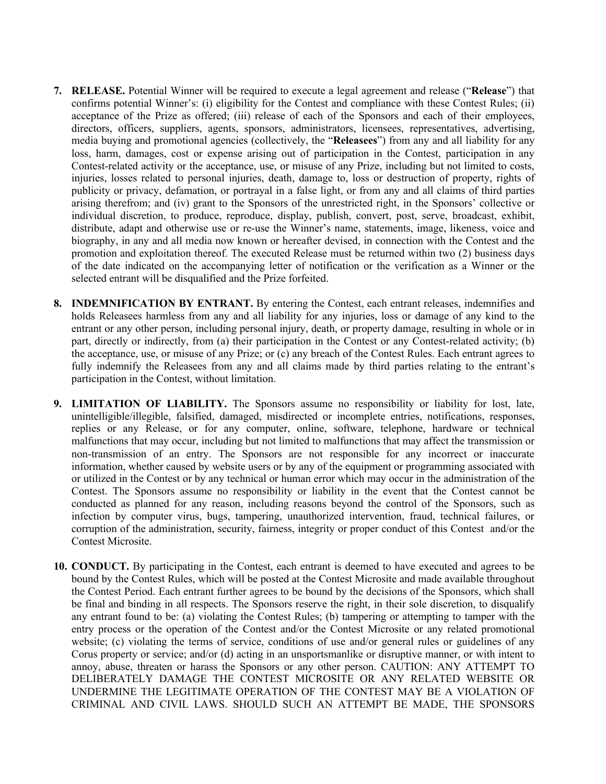- **7. RELEASE.** Potential Winner will be required to execute a legal agreement and release ("**Release**") that confirms potential Winner's: (i) eligibility for the Contest and compliance with these Contest Rules; (ii) acceptance of the Prize as offered; (iii) release of each of the Sponsors and each of their employees, directors, officers, suppliers, agents, sponsors, administrators, licensees, representatives, advertising, media buying and promotional agencies (collectively, the "**Releasees**") from any and all liability for any loss, harm, damages, cost or expense arising out of participation in the Contest, participation in any Contest-related activity or the acceptance, use, or misuse of any Prize, including but not limited to costs, injuries, losses related to personal injuries, death, damage to, loss or destruction of property, rights of publicity or privacy, defamation, or portrayal in a false light, or from any and all claims of third parties arising therefrom; and (iv) grant to the Sponsors of the unrestricted right, in the Sponsors' collective or individual discretion, to produce, reproduce, display, publish, convert, post, serve, broadcast, exhibit, distribute, adapt and otherwise use or re-use the Winner's name, statements, image, likeness, voice and biography, in any and all media now known or hereafter devised, in connection with the Contest and the promotion and exploitation thereof. The executed Release must be returned within two (2) business days of the date indicated on the accompanying letter of notification or the verification as a Winner or the selected entrant will be disqualified and the Prize forfeited.
- **8. INDEMNIFICATION BY ENTRANT.** By entering the Contest, each entrant releases, indemnifies and holds Releasees harmless from any and all liability for any injuries, loss or damage of any kind to the entrant or any other person, including personal injury, death, or property damage, resulting in whole or in part, directly or indirectly, from (a) their participation in the Contest or any Contest-related activity; (b) the acceptance, use, or misuse of any Prize; or (c) any breach of the Contest Rules. Each entrant agrees to fully indemnify the Releasees from any and all claims made by third parties relating to the entrant's participation in the Contest, without limitation.
- **9. LIMITATION OF LIABILITY.** The Sponsors assume no responsibility or liability for lost, late, unintelligible/illegible, falsified, damaged, misdirected or incomplete entries, notifications, responses, replies or any Release, or for any computer, online, software, telephone, hardware or technical malfunctions that may occur, including but not limited to malfunctions that may affect the transmission or non-transmission of an entry. The Sponsors are not responsible for any incorrect or inaccurate information, whether caused by website users or by any of the equipment or programming associated with or utilized in the Contest or by any technical or human error which may occur in the administration of the Contest. The Sponsors assume no responsibility or liability in the event that the Contest cannot be conducted as planned for any reason, including reasons beyond the control of the Sponsors, such as infection by computer virus, bugs, tampering, unauthorized intervention, fraud, technical failures, or corruption of the administration, security, fairness, integrity or proper conduct of this Contest and/or the Contest Microsite.
- **10. CONDUCT.** By participating in the Contest, each entrant is deemed to have executed and agrees to be bound by the Contest Rules, which will be posted at the Contest Microsite and made available throughout the Contest Period. Each entrant further agrees to be bound by the decisions of the Sponsors, which shall be final and binding in all respects. The Sponsors reserve the right, in their sole discretion, to disqualify any entrant found to be: (a) violating the Contest Rules; (b) tampering or attempting to tamper with the entry process or the operation of the Contest and/or the Contest Microsite or any related promotional website; (c) violating the terms of service, conditions of use and/or general rules or guidelines of any Corus property or service; and/or (d) acting in an unsportsmanlike or disruptive manner, or with intent to annoy, abuse, threaten or harass the Sponsors or any other person. CAUTION: ANY ATTEMPT TO DELIBERATELY DAMAGE THE CONTEST MICROSITE OR ANY RELATED WEBSITE OR UNDERMINE THE LEGITIMATE OPERATION OF THE CONTEST MAY BE A VIOLATION OF CRIMINAL AND CIVIL LAWS. SHOULD SUCH AN ATTEMPT BE MADE, THE SPONSORS